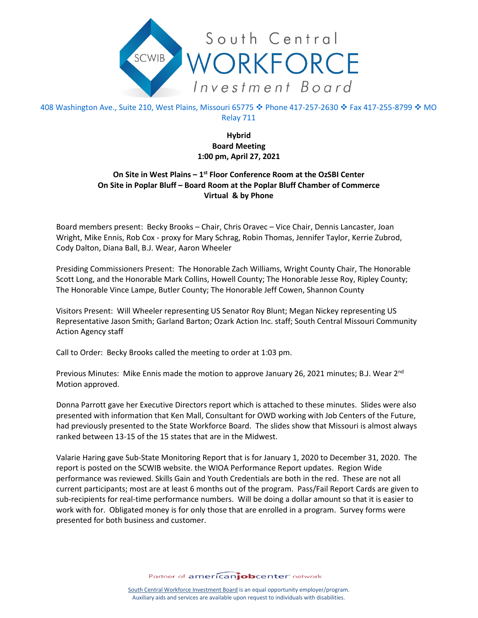

408 Washington Ave., Suite 210, West Plains, Missouri 65775 � Phone 417-257-2630 � Fax 417-255-8799 � MO Relay 711

> **Hybrid Board Meeting 1:00 pm, April 27, 2021**

## **On Site in West Plains – 1st Floor Conference Room at the OzSBI Center On Site in Poplar Bluff – Board Room at the Poplar Bluff Chamber of Commerce Virtual & by Phone**

Board members present: Becky Brooks – Chair, Chris Oravec – Vice Chair, Dennis Lancaster, Joan Wright, Mike Ennis, Rob Cox - proxy for Mary Schrag, Robin Thomas, Jennifer Taylor, Kerrie Zubrod, Cody Dalton, Diana Ball, B.J. Wear, Aaron Wheeler

Presiding Commissioners Present: The Honorable Zach Williams, Wright County Chair, The Honorable Scott Long, and the Honorable Mark Collins, Howell County; The Honorable Jesse Roy, Ripley County; The Honorable Vince Lampe, Butler County; The Honorable Jeff Cowen, Shannon County

Visitors Present: Will Wheeler representing US Senator Roy Blunt; Megan Nickey representing US Representative Jason Smith; Garland Barton; Ozark Action Inc. staff; South Central Missouri Community Action Agency staff

Call to Order: Becky Brooks called the meeting to order at 1:03 pm.

Previous Minutes: Mike Ennis made the motion to approve January 26, 2021 minutes; B.J. Wear 2<sup>nd</sup> Motion approved.

Donna Parrott gave her Executive Directors report which is attached to these minutes. Slides were also presented with information that Ken Mall, Consultant for OWD working with Job Centers of the Future, had previously presented to the State Workforce Board. The slides show that Missouri is almost always ranked between 13-15 of the 15 states that are in the Midwest.

Valarie Haring gave Sub-State Monitoring Report that is for January 1, 2020 to December 31, 2020. The report is posted on the SCWIB website. the WIOA Performance Report updates. Region Wide performance was reviewed. Skills Gain and Youth Credentials are both in the red. These are not all current participants; most are at least 6 months out of the program. Pass/Fail Report Cards are given to sub-recipients for real-time performance numbers. Will be doing a dollar amount so that it is easier to work with for. Obligated money is for only those that are enrolled in a program. Survey forms were presented for both business and customer.

Partner of americanjobcenter network